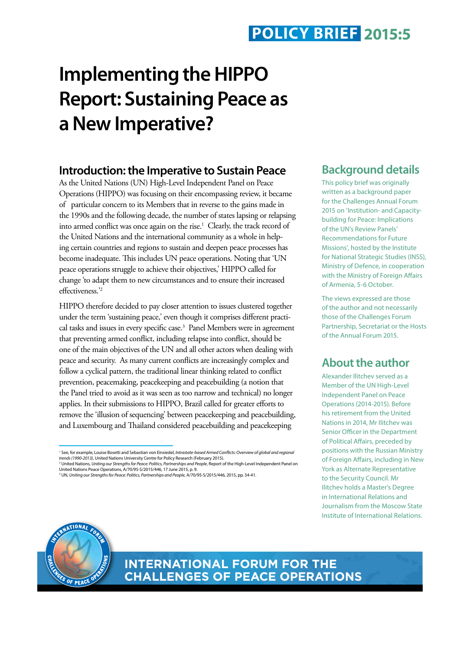# **Implementing the HIPPO Report: Sustaining Peace as a New Imperative?**

#### **Introduction: the Imperative to Sustain Peace**

As the United Nations (UN) High-Level Independent Panel on Peace Operations (HIPPO) was focusing on their encompassing review, it became of particular concern to its Members that in reverse to the gains made in the 1990s and the following decade, the number of states lapsing or relapsing into armed conflict was once again on the rise.<sup>1</sup> Clearly, the track record of the United Nations and the international community as a whole in helping certain countries and regions to sustain and deepen peace processes has become inadequate. This includes UN peace operations. Noting that 'UN peace operations struggle to achieve their objectives,' HIPPO called for change 'to adapt them to new circumstances and to ensure their increased effectiveness.'2

HIPPO therefore decided to pay closer attention to issues clustered together under the term 'sustaining peace,' even though it comprises different practical tasks and issues in every specific case.3 Panel Members were in agreement that preventing armed conflict, including relapse into conflict, should be one of the main objectives of the UN and all other actors when dealing with peace and security. As many current conflicts are increasingly complex and follow a cyclical pattern, the traditional linear thinking related to conflict prevention, peacemaking, peacekeeping and peacebuilding (a notion that the Panel tried to avoid as it was seen as too narrow and technical) no longer applies. In their submissions to HIPPO, Brazil called for greater efforts to remove the 'illusion of sequencing' between peacekeeping and peacebuilding, and Luxembourg and Thailand considered peacebuilding and peacekeeping

#### **Background details**

This policy brief was originally written as a background paper for the Challenges Annual Forum 2015 on 'Institution- and Capacitybuilding for Peace: Implications of the UN's Review Panels' Recommendations for Future Missions', hosted by the Institute for National Strategic Studies (INSS), Ministry of Defence, in cooperation with the Ministry of Foreign Affairs of Armenia, 5-6 October.

The views expressed are those of the author and not necessarily those of the Challenges Forum Partnership, Secretariat or the Hosts of the Annual Forum 2015.

#### **About the author**

Alexander Ilitchev served as a Member of the UN High-Level Independent Panel on Peace Operations (2014-2015). Before his retirement from the United Nations in 2014, Mr Ilitchev was Senior Officer in the Department of Political Affairs, preceded by positions with the Russian Ministry of Foreign Affairs, including in New York as Alternate Representative to the Security Council. Mr Ilitchev holds a Master's Degree in International Relations and Journalism from the Moscow State Institute of International Relations.



**INTERNATIONAL FORUM FOR THE CHALLENGES OF PEACE OPERATIONS**

<sup>&</sup>lt;sup>1</sup> See, for example, Louise Bosetti and Sebastian von Einsiedel, Intrastate-based Armed Conflicts: Overview of global and regional *trends (1990-2013)*, United Nations University Centre for Policy Research (February 2015). <sup>2</sup> United Nations, *Uniting our Strengths for Peace: Politics, Partnerships and People,* Report of the High-Level Independent Panel on<br>United Nations Peace Operations, A/70/95-S/2015/446, 17 June 2015, p. 9.

<sup>3</sup> UN, *Uniting our Strengths for Peace: Politics, Partnerships and People*, A/70/95-S/2015/446, 2015, pp. 34-41.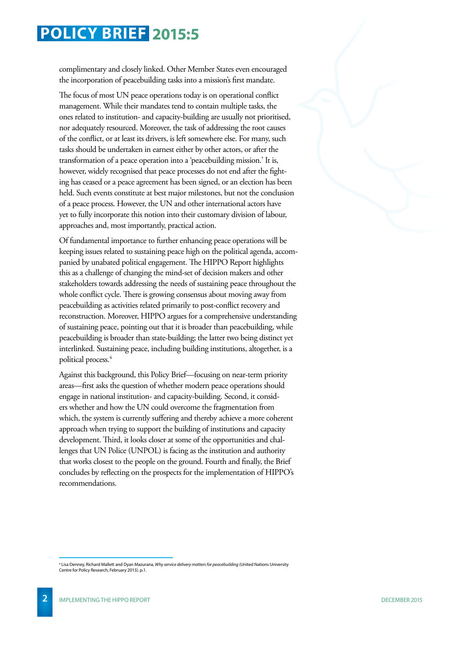complimentary and closely linked. Other Member States even encouraged the incorporation of peacebuilding tasks into a mission's first mandate.

The focus of most UN peace operations today is on operational conflict management. While their mandates tend to contain multiple tasks, the ones related to institution- and capacity-building are usually not prioritised, nor adequately resourced. Moreover, the task of addressing the root causes of the conflict, or at least its drivers, is left somewhere else. For many, such tasks should be undertaken in earnest either by other actors, or after the transformation of a peace operation into a 'peacebuilding mission.' It is, however, widely recognised that peace processes do not end after the fighting has ceased or a peace agreement has been signed, or an election has been held. Such events constitute at best major milestones, but not the conclusion of a peace process. However, the UN and other international actors have yet to fully incorporate this notion into their customary division of labour, approaches and, most importantly, practical action.

Of fundamental importance to further enhancing peace operations will be keeping issues related to sustaining peace high on the political agenda, accompanied by unabated political engagement. The HIPPO Report highlights this as a challenge of changing the mind-set of decision makers and other stakeholders towards addressing the needs of sustaining peace throughout the whole conflict cycle. There is growing consensus about moving away from peacebuilding as activities related primarily to post-conflict recovery and reconstruction. Moreover, HIPPO argues for a comprehensive understanding of sustaining peace, pointing out that it is broader than peacebuilding, while peacebuilding is broader than state-building; the latter two being distinct yet interlinked. Sustaining peace, including building institutions, altogether, is a political process.4

Against this background, this Policy Brief—focusing on near-term priority areas—first asks the question of whether modern peace operations should engage in national institution- and capacity-building. Second, it considers whether and how the UN could overcome the fragmentation from which, the system is currently suffering and thereby achieve a more coherent approach when trying to support the building of institutions and capacity development. Third, it looks closer at some of the opportunities and challenges that UN Police (UNPOL) is facing as the institution and authority that works closest to the people on the ground. Fourth and finally, the Brief concludes by reflecting on the prospects for the implementation of HIPPO's recommendations.

<sup>4</sup> Lisa Denney, Richard Mallett and Dyan Mazurana, *Why service delivery matters for peacebuilding* (United Nations University Centre for Policy Research, February 2015). p.1.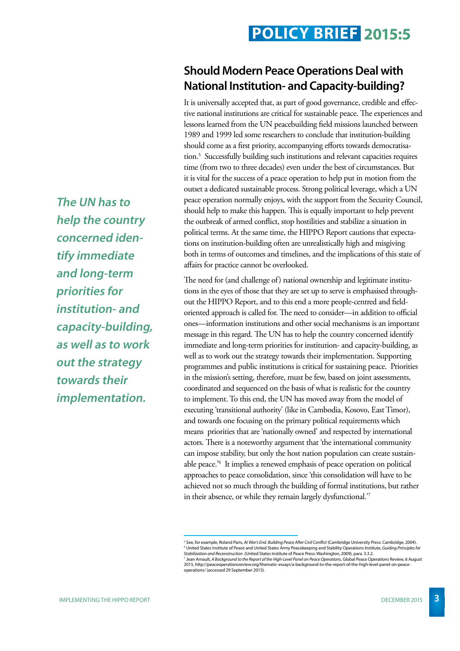#### **Should Modern Peace Operations Deal with National Institution- and Capacity-building?**

It is universally accepted that, as part of good governance, credible and effective national institutions are critical for sustainable peace. The experiences and lessons learned from the UN peacebuilding field missions launched between 1989 and 1999 led some researchers to conclude that institution-building should come as a first priority, accompanying efforts towards democratisation.5 Successfully building such institutions and relevant capacities requires time (from two to three decades) even under the best of circumstances. But it is vital for the success of a peace operation to help put in motion from the outset a dedicated sustainable process. Strong political leverage, which a UN peace operation normally enjoys, with the support from the Security Council, should help to make this happen. This is equally important to help prevent the outbreak of armed conflict, stop hostilities and stabilize a situation in political terms. At the same time, the HIPPO Report cautions that expectations on institution-building often are unrealistically high and misgiving both in terms of outcomes and timelines, and the implications of this state of affairs for practice cannot be overlooked.

The need for (and challenge of) national ownership and legitimate institutions in the eyes of those that they are set up to serve is emphasised throughout the HIPPO Report, and to this end a more people-centred and fieldoriented approach is called for. The need to consider—in addition to official ones—information institutions and other social mechanisms is an important message in this regard. The UN has to help the country concerned identify immediate and long-term priorities for institution- and capacity-building, as well as to work out the strategy towards their implementation. Supporting programmes and public institutions is critical for sustaining peace. Priorities in the mission's setting, therefore, must be few, based on joint assessments, coordinated and sequenced on the basis of what is realistic for the country to implement. To this end, the UN has moved away from the model of executing 'transitional authority' (like in Cambodia, Kosovo, East Timor), and towards one focusing on the primary political requirements which means priorities that are 'nationally owned' and respected by international actors. There is a noteworthy argument that 'the international community can impose stability, but only the host nation population can create sustainable peace.'6 It implies a renewed emphasis of peace operation on political approaches to peace consolidation, since 'this consolidation will have to be achieved not so much through the building of formal institutions, but rather in their absence, or while they remain largely dysfunctional.'7

**The UN has to help the country concerned identify immediate and long-term priorities for institution- and capacity-building, as well as to work out the strategy towards their implementation.**

<sup>5</sup> See, for example, Roland Paris, *At War's End. Building Peace After Civil Conflict* (Cambridge University Press: Cambridge, 2004). <sup>6</sup> United States Institute of Peace and United States Army Peacekeeping and Stability Operations Institute, G*uiding Principles for*<br>*Stabilization and Reconstruction (*United States Institute of Peace Press: Washington,

<sup>&</sup>lt;sup>7</sup> Jean Arnault, *A Background to the Report of the High-Level Panel on Peace Operations, Global Peace Operations Review, 6 August<br>2015, http://peaceoperationsreview.org/thematic-essays/a-background-to-the-report-of-the-h* operations/ (accessed 29 September 2015).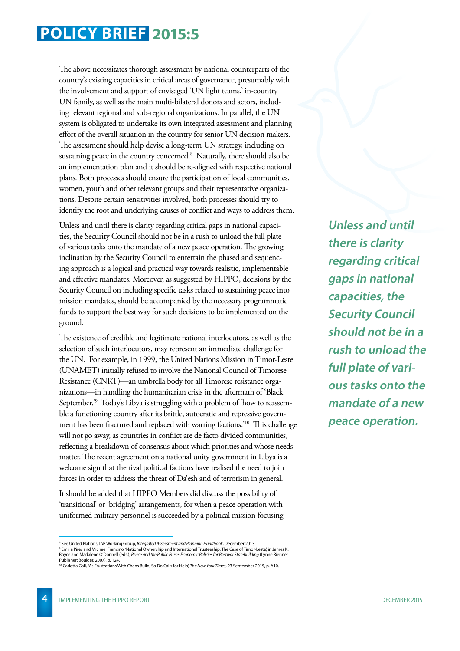The above necessitates thorough assessment by national counterparts of the country's existing capacities in critical areas of governance, presumably with the involvement and support of envisaged 'UN light teams,' in-country UN family, as well as the main multi-bilateral donors and actors, including relevant regional and sub-regional organizations. In parallel, the UN system is obligated to undertake its own integrated assessment and planning effort of the overall situation in the country for senior UN decision makers. The assessment should help devise a long-term UN strategy, including on sustaining peace in the country concerned.<sup>8</sup> Naturally, there should also be an implementation plan and it should be re-aligned with respective national plans. Both processes should ensure the participation of local communities, women, youth and other relevant groups and their representative organizations. Despite certain sensitivities involved, both processes should try to identify the root and underlying causes of conflict and ways to address them.

Unless and until there is clarity regarding critical gaps in national capacities, the Security Council should not be in a rush to unload the full plate of various tasks onto the mandate of a new peace operation. The growing inclination by the Security Council to entertain the phased and sequencing approach is a logical and practical way towards realistic, implementable and effective mandates. Moreover, as suggested by HIPPO, decisions by the Security Council on including specific tasks related to sustaining peace into mission mandates, should be accompanied by the necessary programmatic funds to support the best way for such decisions to be implemented on the ground.

The existence of credible and legitimate national interlocutors, as well as the selection of such interlocutors, may represent an immediate challenge for the UN. For example, in 1999, the United Nations Mission in Timor-Leste (UNAMET) initially refused to involve the National Council of Timorese Resistance (CNRT)—an umbrella body for all Timorese resistance organizations—in handling the humanitarian crisis in the aftermath of 'Black September.'9 Today's Libya is struggling with a problem of 'how to reassemble a functioning country after its brittle, autocratic and repressive government has been fractured and replaced with warring factions.'10 This challenge will not go away, as countries in conflict are de facto divided communities, reflecting a breakdown of consensus about which priorities and whose needs matter. The recent agreement on a national unity government in Libya is a welcome sign that the rival political factions have realised the need to join forces in order to address the threat of Da'esh and of terrorism in general.

It should be added that HIPPO Members did discuss the possibility of 'transitional' or 'bridging' arrangements, for when a peace operation with uniformed military personnel is succeeded by a political mission focusing **Unless and until there is clarity regarding critical gaps in national capacities, the Security Council should not be in a rush to unload the full plate of various tasks onto the mandate of a new peace operation.**

<sup>®</sup> See United Nations, IAP Working Group, *Integrated Assessment and Planning Handbook,* December 2013.<br>® Emilia Pires and Michael Francino, 'National Ownership and International Trusteeship: The Case of Timor-Leste', in Ja

Boyce and Madalene O'Donnell (eds.), *Peace and the Public Purse: Economic Policies for Postwar Statebuilding* (Lynne Rienner Publisher: Boulder, 2007), p. 124.

<sup>10</sup> Carlotta Gall, 'As Frustrations With Chaos Build, So Do Calls for Help', *The New York Times*, 23 September 2015, p. A10.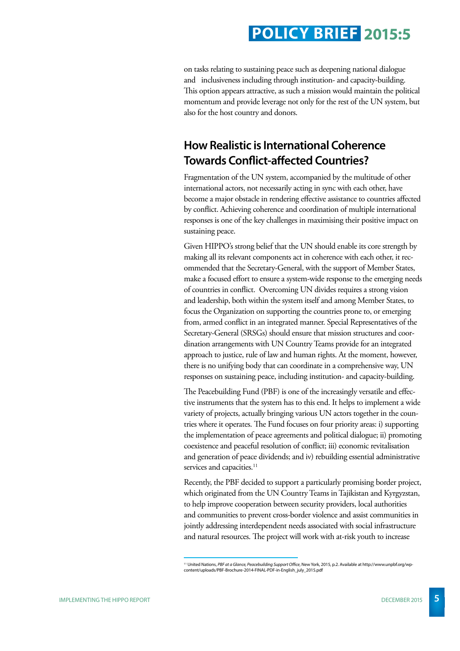on tasks relating to sustaining peace such as deepening national dialogue and inclusiveness including through institution- and capacity-building. This option appears attractive, as such a mission would maintain the political momentum and provide leverage not only for the rest of the UN system, but also for the host country and donors.

#### **How Realistic is International Coherence Towards Conflict-affected Countries?**

Fragmentation of the UN system, accompanied by the multitude of other international actors, not necessarily acting in sync with each other, have become a major obstacle in rendering effective assistance to countries affected by conflict. Achieving coherence and coordination of multiple international responses is one of the key challenges in maximising their positive impact on sustaining peace.

Given HIPPO's strong belief that the UN should enable its core strength by making all its relevant components act in coherence with each other, it recommended that the Secretary-General, with the support of Member States, make a focused effort to ensure a system-wide response to the emerging needs of countries in conflict. Overcoming UN divides requires a strong vision and leadership, both within the system itself and among Member States, to focus the Organization on supporting the countries prone to, or emerging from, armed conflict in an integrated manner. Special Representatives of the Secretary-General (SRSGs) should ensure that mission structures and coordination arrangements with UN Country Teams provide for an integrated approach to justice, rule of law and human rights. At the moment, however, there is no unifying body that can coordinate in a comprehensive way, UN responses on sustaining peace, including institution- and capacity-building.

The Peacebuilding Fund (PBF) is one of the increasingly versatile and effective instruments that the system has to this end. It helps to implement a wide variety of projects, actually bringing various UN actors together in the countries where it operates. The Fund focuses on four priority areas: i) supporting the implementation of peace agreements and political dialogue; ii) promoting coexistence and peaceful resolution of conflict; iii) economic revitalisation and generation of peace dividends; and iv) rebuilding essential administrative services and capacities.<sup>11</sup>

Recently, the PBF decided to support a particularly promising border project, which originated from the UN Country Teams in Tajikistan and Kyrgyzstan, to help improve cooperation between security providers, local authorities and communities to prevent cross-border violence and assist communities in jointly addressing interdependent needs associated with social infrastructure and natural resources. The project will work with at-risk youth to increase

<sup>11</sup> United Nations, *PBF at a Glance, Peacebuilding Support Office*, New York, 2015, p.2. Available at http://www.unpbf.org/wpcontent/uploads/PBF-Brochure-2014-FINAL-PDF-in-English\_july\_2015.pdf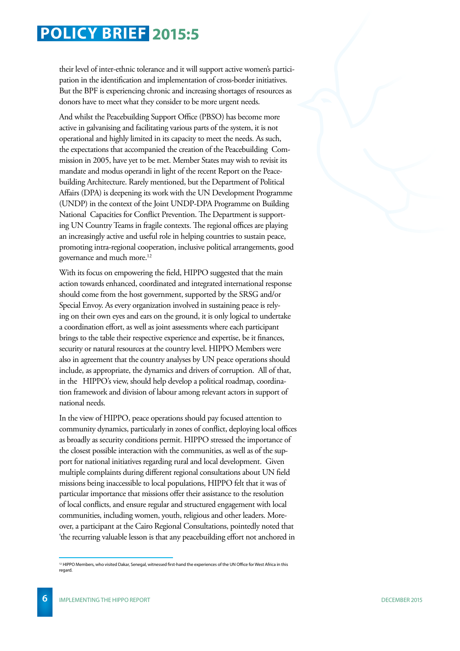their level of inter-ethnic tolerance and it will support active women's participation in the identification and implementation of cross-border initiatives. But the BPF is experiencing chronic and increasing shortages of resources as donors have to meet what they consider to be more urgent needs.

And whilst the Peacebuilding Support Office (PBSO) has become more active in galvanising and facilitating various parts of the system, it is not operational and highly limited in its capacity to meet the needs. As such, the expectations that accompanied the creation of the Peacebuilding Commission in 2005, have yet to be met. Member States may wish to revisit its mandate and modus operandi in light of the recent Report on the Peacebuilding Architecture. Rarely mentioned, but the Department of Political Affairs (DPA) is deepening its work with the UN Development Programme (UNDP) in the context of the Joint UNDP-DPA Programme on Building National Capacities for Conflict Prevention. The Department is supporting UN Country Teams in fragile contexts. The regional offices are playing an increasingly active and useful role in helping countries to sustain peace, promoting intra-regional cooperation, inclusive political arrangements, good governance and much more.12

With its focus on empowering the field, HIPPO suggested that the main action towards enhanced, coordinated and integrated international response should come from the host government, supported by the SRSG and/or Special Envoy. As every organization involved in sustaining peace is relying on their own eyes and ears on the ground, it is only logical to undertake a coordination effort, as well as joint assessments where each participant brings to the table their respective experience and expertise, be it finances, security or natural resources at the country level. HIPPO Members were also in agreement that the country analyses by UN peace operations should include, as appropriate, the dynamics and drivers of corruption. All of that, in the HIPPO's view, should help develop a political roadmap, coordination framework and division of labour among relevant actors in support of national needs.

In the view of HIPPO, peace operations should pay focused attention to community dynamics, particularly in zones of conflict, deploying local offices as broadly as security conditions permit. HIPPO stressed the importance of the closest possible interaction with the communities, as well as of the support for national initiatives regarding rural and local development. Given multiple complaints during different regional consultations about UN field missions being inaccessible to local populations, HIPPO felt that it was of particular importance that missions offer their assistance to the resolution of local conflicts, and ensure regular and structured engagement with local communities, including women, youth, religious and other leaders. Moreover, a participant at the Cairo Regional Consultations, pointedly noted that 'the recurring valuable lesson is that any peacebuilding effort not anchored in

<sup>12</sup> HIPPO Members, who visited Dakar, Senegal, witnessed first-hand the experiences of the UN Office for West Africa in this regard.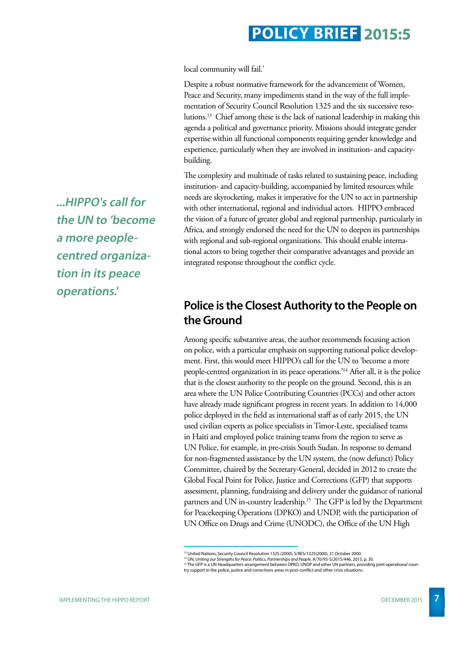local community will fail.'

Despite a robust normative framework for the advancement of Women, Peace and Security, many impediments stand in the way of the full implementation of Security Council Resolution 1325 and the six successive resolutions.13 Chief among these is the lack of national leadership in making this agenda a political and governance priority. Missions should integrate gender expertise within all functional components requiring gender knowledge and experience, particularly when they are involved in institution- and capacitybuilding.

The complexity and multitude of tasks related to sustaining peace, including institution- and capacity-building, accompanied by limited resources while needs are skyrocketing, makes it imperative for the UN to act in partnership with other international, regional and individual actors. HIPPO embraced the vision of a future of greater global and regional partnership, particularly in Africa, and strongly endorsed the need for the UN to deepen its partnerships with regional and sub-regional organizations. This should enable international actors to bring together their comparative advantages and provide an integrated response throughout the conflict cycle.

#### **Police is the Closest Authority to the People on the Ground**

Among specific substantive areas, the author recommends focusing action on police, with a particular emphasis on supporting national police development. First, this would meet HIPPO's call for the UN to 'become a more people-centred organization in its peace operations.'14 After all, it is the police that is the closest authority to the people on the ground. Second, this is an area where the UN Police Contributing Countries (PCCs) and other actors have already made significant progress in recent years. In addition to 14,000 police deployed in the field as international staff as of early 2015, the UN used civilian experts as police specialists in Timor-Leste, specialised teams in Haiti and employed police training teams from the region to serve as UN Police, for example, in pre-crisis South Sudan. In response to demand for non-fragmented assistance by the UN system, the (now defunct) Policy Committee, chaired by the Secretary-General, decided in 2012 to create the Global Focal Point for Police, Justice and Corrections (GFP) that supports assessment, planning, fundraising and delivery under the guidance of national partners and UN in-country leadership.<sup>15</sup> The GFP is led by the Department for Peacekeeping Operations (DPKO) and UNDP, with the participation of UN Office on Drugs and Crime (UNODC), the Office of the UN High

**...HIPPO's call for the UN to 'become a more peoplecentred organization in its peace operations.'**

<sup>&</sup>lt;sup>13</sup> United Nations, Security Council Resolution 1325 (2000), S/RES/1325(2000), 31 October 2000.

<sup>&</sup>lt;sup>14</sup> UN, *Uniting our Strengths for Peace: Politics, Partnerships and People, A/70/95-S/2015/446, 2015, p. 30.<br><sup>15</sup> The GFP is a UN Headquarters arrangement between DPKO, UNDP and other UN partners, providing joint operati* 

try support in the police, justice and corrections areas in post-conflict and other crisis situations.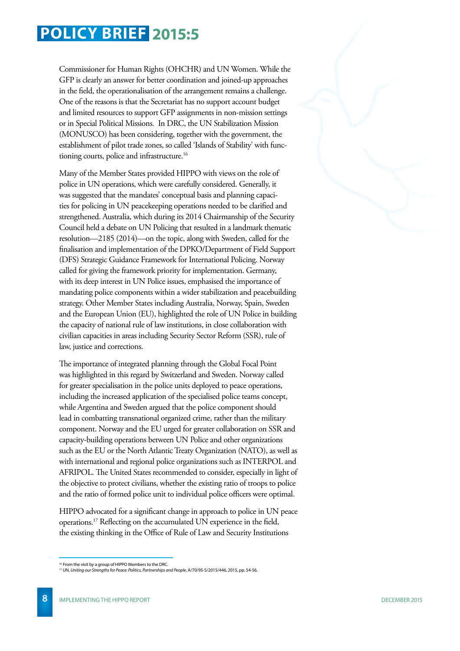Commissioner for Human Rights (OHCHR) and UN Women. While the GFP is clearly an answer for better coordination and joined-up approaches in the field, the operationalisation of the arrangement remains a challenge. One of the reasons is that the Secretariat has no support account budget and limited resources to support GFP assignments in non-mission settings or in Special Political Missions. In DRC, the UN Stabilization Mission (MONUSCO) has been considering, together with the government, the establishment of pilot trade zones, so called 'Islands of Stability' with functioning courts, police and infrastructure.<sup>16</sup>

Many of the Member States provided HIPPO with views on the role of police in UN operations, which were carefully considered. Generally, it was suggested that the mandates' conceptual basis and planning capacities for policing in UN peacekeeping operations needed to be clarified and strengthened. Australia, which during its 2014 Chairmanship of the Security Council held a debate on UN Policing that resulted in a landmark thematic resolution—2185 (2014)—on the topic, along with Sweden, called for the finalisation and implementation of the DPKO/Department of Field Support (DFS) Strategic Guidance Framework for International Policing. Norway called for giving the framework priority for implementation. Germany, with its deep interest in UN Police issues, emphasised the importance of mandating police components within a wider stabilization and peacebuilding strategy. Other Member States including Australia, Norway, Spain, Sweden and the European Union (EU), highlighted the role of UN Police in building the capacity of national rule of law institutions, in close collaboration with civilian capacities in areas including Security Sector Reform (SSR), rule of law, justice and corrections.

The importance of integrated planning through the Global Focal Point was highlighted in this regard by Switzerland and Sweden. Norway called for greater specialisation in the police units deployed to peace operations, including the increased application of the specialised police teams concept, while Argentina and Sweden argued that the police component should lead in combatting transnational organized crime, rather than the military component. Norway and the EU urged for greater collaboration on SSR and capacity-building operations between UN Police and other organizations such as the EU or the North Atlantic Treaty Organization (NATO), as well as with international and regional police organizations such as INTERPOL and AFRIPOL. The United States recommended to consider, especially in light of the objective to protect civilians, whether the existing ratio of troops to police and the ratio of formed police unit to individual police officers were optimal.

HIPPO advocated for a significant change in approach to police in UN peace operations.17 Reflecting on the accumulated UN experience in the field, the existing thinking in the Office of Rule of Law and Security Institutions

<sup>&</sup>lt;sup>16</sup> From the visit by a group of HIPPO Members to the DRC.

<sup>17</sup> UN, *Uniting our Strengths for Peace: Politics, Partnerships and People*, A/70/95-S/2015/446, 2015, pp. 54-56.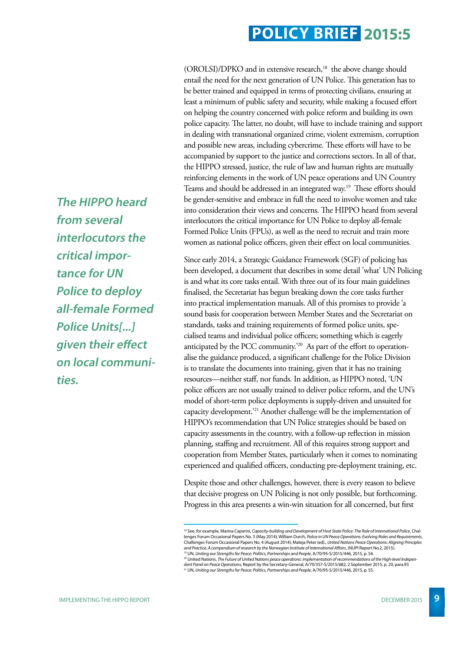(OROLSI)/DPKO and in extensive research,<sup>18</sup> the above change should entail the need for the next generation of UN Police. This generation has to be better trained and equipped in terms of protecting civilians, ensuring at least a minimum of public safety and security, while making a focused effort on helping the country concerned with police reform and building its own police capacity. The latter, no doubt, will have to include training and support in dealing with transnational organized crime, violent extremism, corruption and possible new areas, including cybercrime. These efforts will have to be accompanied by support to the justice and corrections sectors. In all of that, the HIPPO stressed, justice, the rule of law and human rights are mutually reinforcing elements in the work of UN peace operations and UN Country Teams and should be addressed in an integrated way.<sup>19</sup> These efforts should be gender-sensitive and embrace in full the need to involve women and take into consideration their views and concerns. The HIPPO heard from several interlocutors the critical importance for UN Police to deploy all-female Formed Police Units (FPUs), as well as the need to recruit and train more women as national police officers, given their effect on local communities.

Since early 2014, a Strategic Guidance Framework (SGF) of policing has been developed, a document that describes in some detail 'what' UN Policing is and what its core tasks entail. With three out of its four main guidelines finalised, the Secretariat has begun breaking down the core tasks further into practical implementation manuals. All of this promises to provide 'a sound basis for cooperation between Member States and the Secretariat on standards, tasks and training requirements of formed police units, specialised teams and individual police officers; something which is eagerly anticipated by the PCC community.'20 As part of the effort to operationalise the guidance produced, a significant challenge for the Police Division is to translate the documents into training, given that it has no training resources—neither staff, nor funds. In addition, as HIPPO noted, 'UN police officers are not usually trained to deliver police reform, and the UN's model of short-term police deployments is supply-driven and unsuited for capacity development.'21 Another challenge will be the implementation of HIPPO's recommendation that UN Police strategies should be based on capacity assessments in the country, with a follow-up reflection in mission planning, staffing and recruitment. All of this requires strong support and cooperation from Member States, particularly when it comes to nominating experienced and qualified officers, conducting pre-deployment training, etc.

Despite those and other challenges, however, there is every reason to believe that decisive progress on UN Policing is not only possible, but forthcoming. Progress in this area presents a win-win situation for all concerned, but first

**The HIPPO heard from several interlocutors the critical importance for UN Police to deploy all-female Formed Police Units[...] given their effect on local communities.** 

<sup>18</sup> See, for example, Marina Caparini, *Capacity-building and Development of Host State Police: The Role of International Police*, Challenges Forum Occasional Papers No. 3 (May 2014); William Durch, *Police in UN Peace Operations: Evolving Roles and Requirements*, Challenges Forum Occasional Papers No. 4 (August 2014); Mateja Peter (ed)., *United Nations Peace Operations: Aligning Principles*  and Practice, A compendium of research by the Norwegian Institute of International Affairs, (NUPI Report No.2, 2015).<br><sup>19</sup> UN, Uniting our Strengths for Peace: Politics, Partnerships and People, A/70/95-S/2015/446, 2015, p

<sup>&</sup>lt;sup>20</sup> United Nations, The Future of United Nations peace operations: implementation of recommendations of the High-level Indepen*dent Panel on Peace Operations*, Report by the Secretary-General, A/70/357-S/2015/682, 2 September 2015, p. 20, para.93 21 UN, *Uniting our Strengths for Peace: Politics, Partnerships and People*, A/70/95-S/2015/446, 2015, p. 55.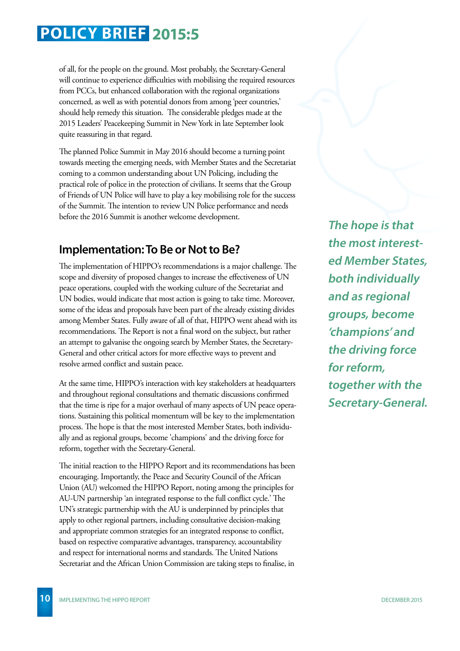of all, for the people on the ground. Most probably, the Secretary-General will continue to experience difficulties with mobilising the required resources from PCCs, but enhanced collaboration with the regional organizations concerned, as well as with potential donors from among 'peer countries,' should help remedy this situation. The considerable pledges made at the 2015 Leaders' Peacekeeping Summit in New York in late September look quite reassuring in that regard.

The planned Police Summit in May 2016 should become a turning point towards meeting the emerging needs, with Member States and the Secretariat coming to a common understanding about UN Policing, including the practical role of police in the protection of civilians. It seems that the Group of Friends of UN Police will have to play a key mobilising role for the success of the Summit. The intention to review UN Police performance and needs before the 2016 Summit is another welcome development.

#### **Implementation: To Be or Not to Be?**

The implementation of HIPPO's recommendations is a major challenge. The scope and diversity of proposed changes to increase the effectiveness of UN peace operations, coupled with the working culture of the Secretariat and UN bodies, would indicate that most action is going to take time. Moreover, some of the ideas and proposals have been part of the already existing divides among Member States. Fully aware of all of that, HIPPO went ahead with its recommendations. The Report is not a final word on the subject, but rather an attempt to galvanise the ongoing search by Member States, the Secretary-General and other critical actors for more effective ways to prevent and resolve armed conflict and sustain peace.

At the same time, HIPPO's interaction with key stakeholders at headquarters and throughout regional consultations and thematic discussions confirmed that the time is ripe for a major overhaul of many aspects of UN peace operations. Sustaining this political momentum will be key to the implementation process. The hope is that the most interested Member States, both individually and as regional groups, become 'champions' and the driving force for reform, together with the Secretary-General.

The initial reaction to the HIPPO Report and its recommendations has been encouraging. Importantly, the Peace and Security Council of the African Union (AU) welcomed the HIPPO Report, noting among the principles for AU-UN partnership 'an integrated response to the full conflict cycle.' The UN's strategic partnership with the AU is underpinned by principles that apply to other regional partners, including consultative decision-making and appropriate common strategies for an integrated response to conflict, based on respective comparative advantages, transparency, accountability and respect for international norms and standards. The United Nations Secretariat and the African Union Commission are taking steps to finalise, in

**The hope is that the most interested Member States, both individually and as regional groups, become 'champions' and the driving force for reform, together with the Secretary-General.**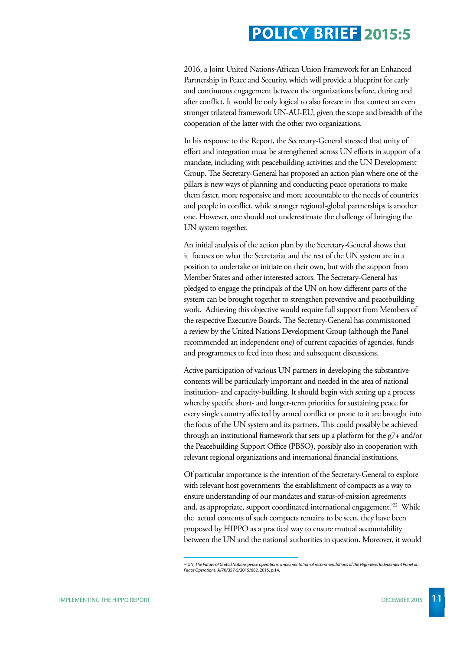2016, a Joint United Nations-African Union Framework for an Enhanced Partnership in Peace and Security, which will provide a blueprint for early and continuous engagement between the organizations before, during and after conflict. It would be only logical to also foresee in that context an even stronger trilateral framework UN-AU-EU, given the scope and breadth of the cooperation of the latter with the other two organizations.

In his response to the Report, the Secretary-General stressed that unity of effort and integration must be strengthened across UN efforts in support of a mandate, including with peacebuilding activities and the UN Development Group. The Secretary-General has proposed an action plan where one of the pillars is new ways of planning and conducting peace operations to make them faster, more responsive and more accountable to the needs of countries and people in conflict, while stronger regional-global partnerships is another one. However, one should not underestimate the challenge of bringing the UN system together.

An initial analysis of the action plan by the Secretary-General shows that it focuses on what the Secretariat and the rest of the UN system are in a position to undertake or initiate on their own, but with the support from Member States and other interested actors. The Secretary-General has pledged to engage the principals of the UN on how different parts of the system can be brought together to strengthen preventive and peacebuilding work. Achieving this objective would require full support from Members of the respective Executive Boards. The Secretary-General has commissioned a review by the United Nations Development Group (although the Panel recommended an independent one) of current capacities of agencies, funds and programmes to feed into those and subsequent discussions.

Active participation of various UN partners in developing the substantive contents will be particularly important and needed in the area of national institution- and capacity-building. It should begin with setting up a process whereby specific short- and longer-term priorities for sustaining peace for every single country affected by armed conflict or prone to it are brought into the focus of the UN system and its partners. This could possibly be achieved through an institutional framework that sets up a platform for the g7+ and/or the Peacebuilding Support Office (PBSO), possibly also in cooperation with relevant regional organizations and international financial institutions.

Of particular importance is the intention of the Secretary-General to explore with relevant host governments 'the establishment of compacts as a way to ensure understanding of our mandates and status-of-mission agreements and, as appropriate, support coordinated international engagement.'22 While the actual contents of such compacts remains to be seen, they have been proposed by HIPPO as a practical way to ensure mutual accountability between the UN and the national authorities in question. Moreover, it would

<sup>22</sup> UN, *The Future of United Nations peace operations: implementation of recommendations of the High-level Independent Panel on Peace Operations*, A/70/357-S/2015/682, 2015, p.14.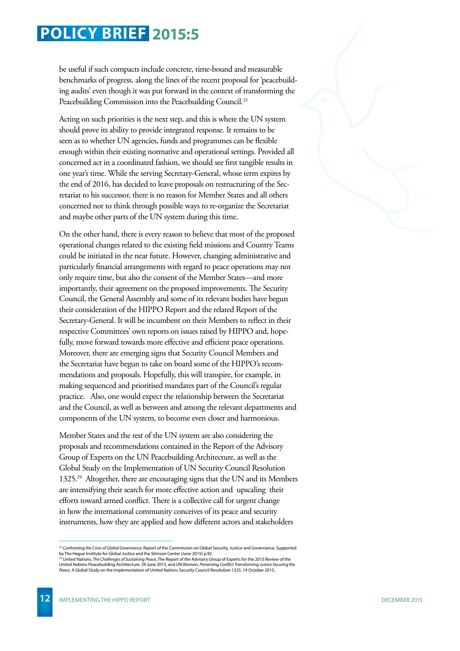be useful if such compacts include concrete, time-bound and measurable benchmarks of progress, along the lines of the recent proposal for 'peacebuilding audits' even though it was put forward in the context of transforming the Peacebuilding Commission into the Peacebuilding Council.<sup>23</sup>

Acting on such priorities is the next step, and this is where the UN system should prove its ability to provide integrated response. It remains to be seen as to whether UN agencies, funds and programmes can be flexible enough within their existing normative and operational settings. Provided all concerned act in a coordinated fashion, we should see first tangible results in one year's time. While the serving Secretary-General, whose term expires by the end of 2016, has decided to leave proposals on restructuring of the Secretariat to his successor, there is no reason for Member States and all others concerned not to think through possible ways to re-organize the Secretariat and maybe other parts of the UN system during this time.

On the other hand, there is every reason to believe that most of the proposed operational changes related to the existing field missions and Country Teams could be initiated in the near future. However, changing administrative and particularly financial arrangements with regard to peace operations may not only require time, but also the consent of the Member States—and more importantly, their agreement on the proposed improvements. The Security Council, the General Assembly and some of its relevant bodies have begun their consideration of the HIPPO Report and the related Report of the Secretary-General. It will be incumbent on their Members to reflect in their respective Committees' own reports on issues raised by HIPPO and, hopefully, move forward towards more effective and efficient peace operations. Moreover, there are emerging signs that Security Council Members and the Secretariat have begun to take on board some of the HIPPO's recommendations and proposals. Hopefully, this will transpire, for example, in making sequenced and prioritised mandates part of the Council's regular practice. Also, one would expect the relationship between the Secretariat and the Council, as well as between and among the relevant departments and components of the UN system, to become even closer and harmonious.

Member States and the rest of the UN system are also considering the proposals and recommendations contained in the Report of the Advisory Group of Experts on the UN Peacebuilding Architecture, as well as the Global Study on the Implementation of UN Security Council Resolution 1325.<sup>24</sup> Altogether, there are encouraging signs that the UN and its Members are intensifying their search for more effective action and upscaling their efforts toward armed conflict. There is a collective call for urgent change in how the international community conceives of its peace and security instruments, how they are applied and how different actors and stakeholders

<sup>23</sup> *Confronting the Crisis of Global Governance*, Report of the Commission on Global Security, Justice and Governance, Supported

by The Hague Institute for Global Justice and the Stimson Center (June 2015) p.92<br><sup>24</sup> United Nations, The Challenges of Sustaining Peace, The Report of the Advisory Group of Experts for the 2015 Review of the<br>United Natio *Peace*, A Global Study on the Implementation of United Nations Security Council Resolution 1325, 14 October 2015.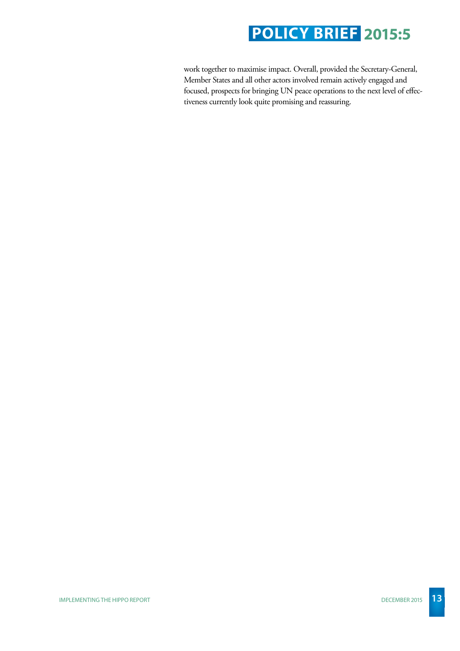work together to maximise impact. Overall, provided the Secretary-General, Member States and all other actors involved remain actively engaged and focused, prospects for bringing UN peace operations to the next level of effectiveness currently look quite promising and reassuring.